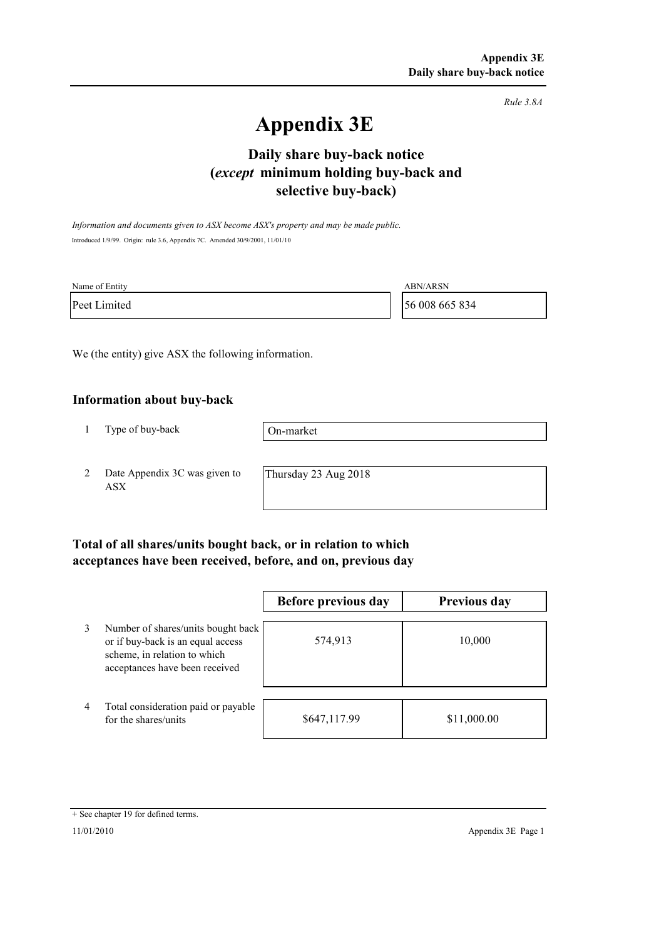*Rule 3.8A*

# **Appendix 3E**

# **selective buy-back) Daily share buy-back notice (***except* **minimum holding buy-back and**

*Information and documents given to ASX become ASX's property and may be made public.* Introduced 1/9/99. Origin: rule 3.6, Appendix 7C. Amended 30/9/2001, 11/01/10

| Name of Entity | ABN/ARSN       |
|----------------|----------------|
| Peet Limited   | 56 008 665 834 |

We (the entity) give ASX the following information.

#### **Information about buy-back**

1 Type of buy-back

On-market

2 Date Appendix 3C was given to ASX

Thursday 23 Aug 2018

### **Total of all shares/units bought back, or in relation to which acceptances have been received, before, and on, previous day**

|   |                                                                                                                                           | Before previous day | <b>Previous day</b> |
|---|-------------------------------------------------------------------------------------------------------------------------------------------|---------------------|---------------------|
| 3 | Number of shares/units bought back<br>or if buy-back is an equal access<br>scheme, in relation to which<br>acceptances have been received | 574,913             | 10,000              |
| 4 | Total consideration paid or payable<br>for the shares/units                                                                               | \$647,117.99        | \$11,000.00         |

<sup>+</sup> See chapter 19 for defined terms.